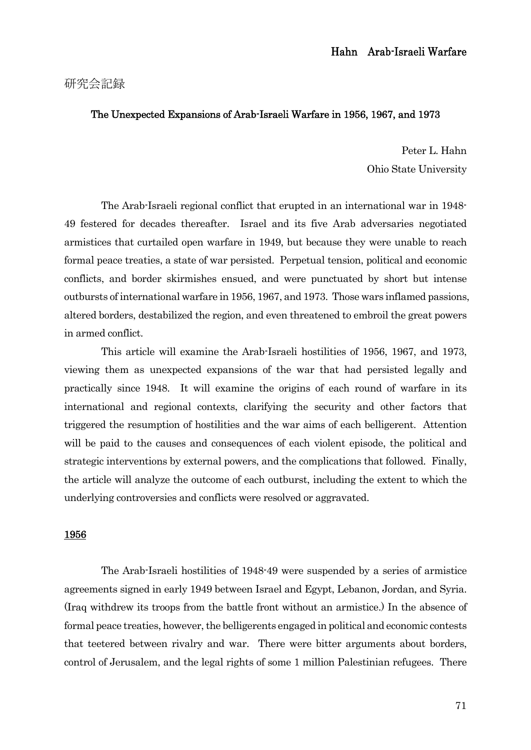# Hahn Arab-Israeli Warfare

# 研究会記録

#### The Unexpected Expansions of Arab-Israeli Warfare in 1956, 1967, and 1973

Peter L. Hahn Ohio State University

The Arab-Israeli regional conflict that erupted in an international war in 1948- 49 festered for decades thereafter. Israel and its five Arab adversaries negotiated armistices that curtailed open warfare in 1949, but because they were unable to reach formal peace treaties, a state of war persisted. Perpetual tension, political and economic conflicts, and border skirmishes ensued, and were punctuated by short but intense outbursts of international warfare in 1956, 1967, and 1973. Those wars inflamed passions, altered borders, destabilized the region, and even threatened to embroil the great powers in armed conflict.

This article will examine the Arab-Israeli hostilities of 1956, 1967, and 1973, viewing them as unexpected expansions of the war that had persisted legally and practically since 1948. It will examine the origins of each round of warfare in its international and regional contexts, clarifying the security and other factors that triggered the resumption of hostilities and the war aims of each belligerent. Attention will be paid to the causes and consequences of each violent episode, the political and strategic interventions by external powers, and the complications that followed. Finally, the article will analyze the outcome of each outburst, including the extent to which the underlying controversies and conflicts were resolved or aggravated.

#### 1956

 The Arab-Israeli hostilities of 1948-49 were suspended by a series of armistice agreements signed in early 1949 between Israel and Egypt, Lebanon, Jordan, and Syria. (Iraq withdrew its troops from the battle front without an armistice.) In the absence of formal peace treaties, however, the belligerents engaged in political and economic contests that teetered between rivalry and war. There were bitter arguments about borders, control of Jerusalem, and the legal rights of some 1 million Palestinian refugees. There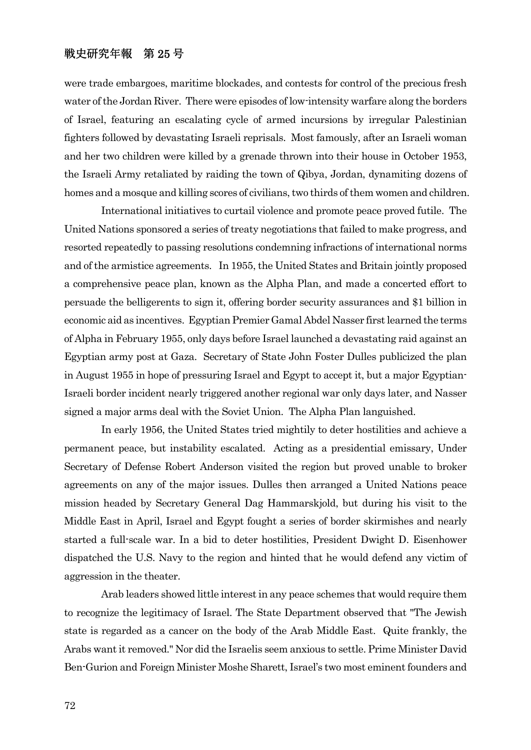were trade embargoes, maritime blockades, and contests for control of the precious fresh water of the Jordan River. There were episodes of low-intensity warfare along the borders of Israel, featuring an escalating cycle of armed incursions by irregular Palestinian fighters followed by devastating Israeli reprisals. Most famously, after an Israeli woman and her two children were killed by a grenade thrown into their house in October 1953, the Israeli Army retaliated by raiding the town of Qibya, Jordan, dynamiting dozens of homes and a mosque and killing scores of civilians, two thirds of them women and children.

 International initiatives to curtail violence and promote peace proved futile. The United Nations sponsored a series of treaty negotiations that failed to make progress, and resorted repeatedly to passing resolutions condemning infractions of international norms and of the armistice agreements. In 1955, the United States and Britain jointly proposed a comprehensive peace plan, known as the Alpha Plan, and made a concerted effort to persuade the belligerents to sign it, offering border security assurances and \$1 billion in economic aid as incentives. Egyptian Premier Gamal Abdel Nasser first learned the terms of Alpha in February 1955, only days before Israel launched a devastating raid against an Egyptian army post at Gaza. Secretary of State John Foster Dulles publicized the plan in August 1955 in hope of pressuring Israel and Egypt to accept it, but a major Egyptian-Israeli border incident nearly triggered another regional war only days later, and Nasser signed a major arms deal with the Soviet Union. The Alpha Plan languished.

In early 1956, the United States tried mightily to deter hostilities and achieve a permanent peace, but instability escalated. Acting as a presidential emissary, Under Secretary of Defense Robert Anderson visited the region but proved unable to broker agreements on any of the major issues. Dulles then arranged a United Nations peace mission headed by Secretary General Dag Hammarskjold, but during his visit to the Middle East in April, Israel and Egypt fought a series of border skirmishes and nearly started a full-scale war. In a bid to deter hostilities, President Dwight D. Eisenhower dispatched the U.S. Navy to the region and hinted that he would defend any victim of aggression in the theater.

Arab leaders showed little interest in any peace schemes that would require them to recognize the legitimacy of Israel. The State Department observed that "The Jewish state is regarded as a cancer on the body of the Arab Middle East. Quite frankly, the Arabs want it removed." Nor did the Israelis seem anxious to settle. Prime Minister David Ben-Gurion and Foreign Minister Moshe Sharett, Israel's two most eminent founders and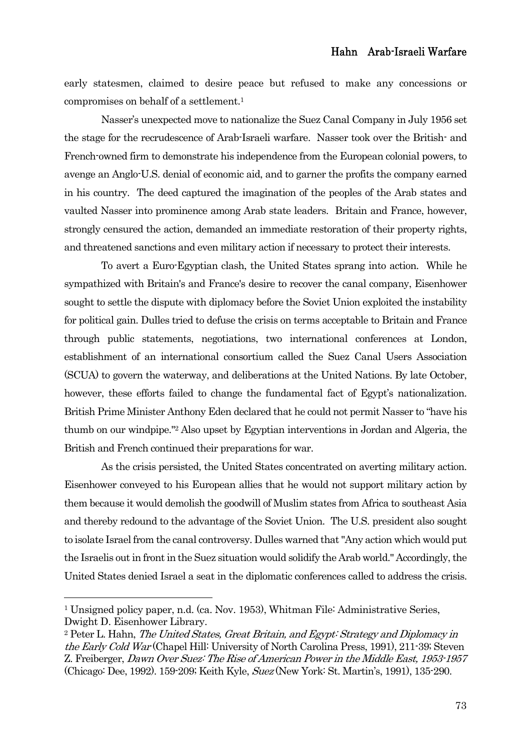early statesmen, claimed to desire peace but refused to make any concessions or compromises on behalf of a settlement.1

Nasser's unexpected move to nationalize the Suez Canal Company in July 1956 set the stage for the recrudescence of Arab-Israeli warfare. Nasser took over the British- and French-owned firm to demonstrate his independence from the European colonial powers, to avenge an Anglo-U.S. denial of economic aid, and to garner the profits the company earned in his country. The deed captured the imagination of the peoples of the Arab states and vaulted Nasser into prominence among Arab state leaders. Britain and France, however, strongly censured the action, demanded an immediate restoration of their property rights, and threatened sanctions and even military action if necessary to protect their interests.

To avert a Euro-Egyptian clash, the United States sprang into action. While he sympathized with Britain's and France's desire to recover the canal company, Eisenhower sought to settle the dispute with diplomacy before the Soviet Union exploited the instability for political gain. Dulles tried to defuse the crisis on terms acceptable to Britain and France through public statements, negotiations, two international conferences at London, establishment of an international consortium called the Suez Canal Users Association (SCUA) to govern the waterway, and deliberations at the United Nations. By late October, however, these efforts failed to change the fundamental fact of Egypt's nationalization. British Prime Minister Anthony Eden declared that he could not permit Nasser to "have his thumb on our windpipe."2 Also upset by Egyptian interventions in Jordan and Algeria, the British and French continued their preparations for war.

As the crisis persisted, the United States concentrated on averting military action. Eisenhower conveyed to his European allies that he would not support military action by them because it would demolish the goodwill of Muslim states from Africa to southeast Asia and thereby redound to the advantage of the Soviet Union. The U.S. president also sought to isolate Israel from the canal controversy. Dulles warned that "Any action which would put the Israelis out in front in the Suez situation would solidify the Arab world." Accordingly, the United States denied Israel a seat in the diplomatic conferences called to address the crisis.

<sup>1</sup> Unsigned policy paper, n.d. (ca. Nov. 1953), Whitman File: Administrative Series, Dwight D. Eisenhower Library.

<sup>2</sup> Peter L. Hahn, The United States, Great Britain, and Egypt: Strategy and Diplomacy in the Early Cold War (Chapel Hill: University of North Carolina Press, 1991), 211-39; Steven Z. Freiberger, Dawn Over Suez: The Rise of American Power in the Middle East, 1953-1957 (Chicago: Dee, 1992). 159-209; Keith Kyle, Suez (New York: St. Martin's, 1991), 135-290.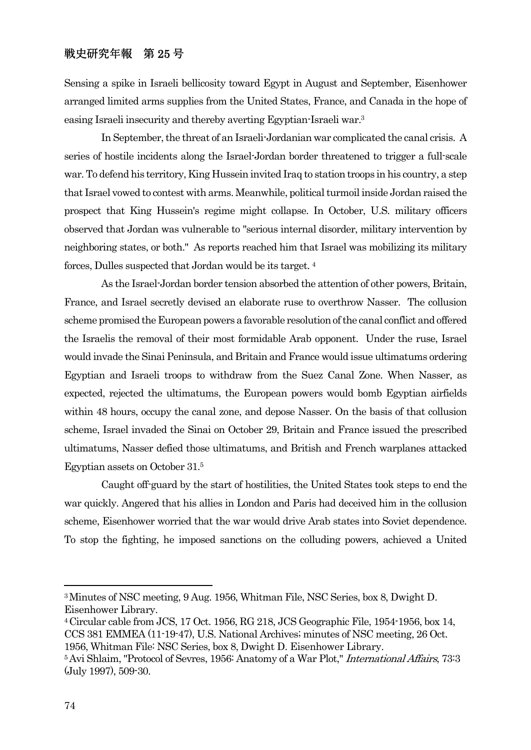Sensing a spike in Israeli bellicosity toward Egypt in August and September, Eisenhower arranged limited arms supplies from the United States, France, and Canada in the hope of easing Israeli insecurity and thereby averting Egyptian-Israeli war.3

 In September, the threat of an Israeli-Jordanian war complicated the canal crisis. A series of hostile incidents along the Israel-Jordan border threatened to trigger a full-scale war. To defend his territory, King Hussein invited Iraq to station troops in his country, a step that Israel vowed to contest with arms. Meanwhile, political turmoil inside Jordan raised the prospect that King Hussein's regime might collapse. In October, U.S. military officers observed that Jordan was vulnerable to "serious internal disorder, military intervention by neighboring states, or both." As reports reached him that Israel was mobilizing its military forces, Dulles suspected that Jordan would be its target. 4

 As the Israel-Jordan border tension absorbed the attention of other powers, Britain, France, and Israel secretly devised an elaborate ruse to overthrow Nasser. The collusion scheme promised the European powers a favorable resolution of the canal conflict and offered the Israelis the removal of their most formidable Arab opponent. Under the ruse, Israel would invade the Sinai Peninsula, and Britain and France would issue ultimatums ordering Egyptian and Israeli troops to withdraw from the Suez Canal Zone. When Nasser, as expected, rejected the ultimatums, the European powers would bomb Egyptian airfields within 48 hours, occupy the canal zone, and depose Nasser. On the basis of that collusion scheme, Israel invaded the Sinai on October 29, Britain and France issued the prescribed ultimatums, Nasser defied those ultimatums, and British and French warplanes attacked Egyptian assets on October 31.5

 Caught off-guard by the start of hostilities, the United States took steps to end the war quickly. Angered that his allies in London and Paris had deceived him in the collusion scheme, Eisenhower worried that the war would drive Arab states into Soviet dependence. To stop the fighting, he imposed sanctions on the colluding powers, achieved a United

<sup>3</sup> Minutes of NSC meeting, 9 Aug. 1956, Whitman File, NSC Series, box 8, Dwight D. Eisenhower Library.

<sup>4</sup> Circular cable from JCS, 17 Oct. 1956, RG 218, JCS Geographic File, 1954-1956, box 14, CCS 381 EMMEA (11-19-47), U.S. National Archives; minutes of NSC meeting, 26 Oct. 1956, Whitman File: NSC Series, box 8, Dwight D. Eisenhower Library.

<sup>5</sup> Avi Shlaim, "Protocol of Sevres, 1956: Anatomy of a War Plot," International Affairs, 73:3 (July 1997), 509-30.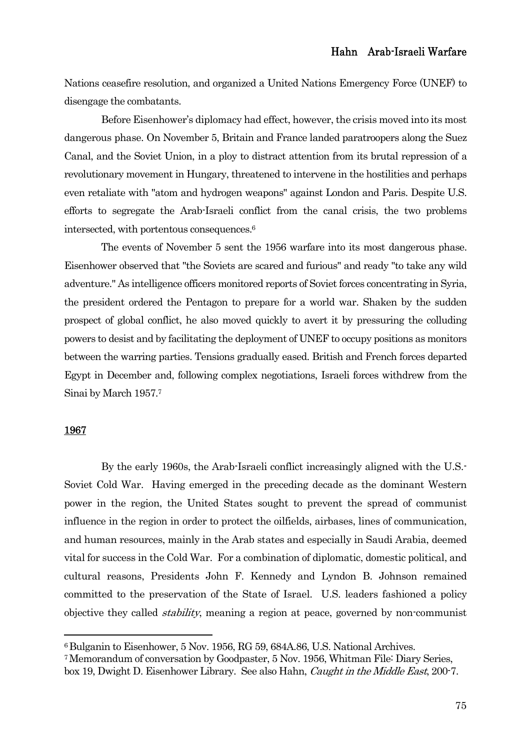Nations ceasefire resolution, and organized a United Nations Emergency Force (UNEF) to disengage the combatants.

Before Eisenhower's diplomacy had effect, however, the crisis moved into its most dangerous phase. On November 5, Britain and France landed paratroopers along the Suez Canal, and the Soviet Union, in a ploy to distract attention from its brutal repression of a revolutionary movement in Hungary, threatened to intervene in the hostilities and perhaps even retaliate with "atom and hydrogen weapons" against London and Paris. Despite U.S. efforts to segregate the Arab-Israeli conflict from the canal crisis, the two problems intersected, with portentous consequences.6

 The events of November 5 sent the 1956 warfare into its most dangerous phase. Eisenhower observed that "the Soviets are scared and furious" and ready "to take any wild adventure." As intelligence officers monitored reports of Soviet forces concentrating in Syria, the president ordered the Pentagon to prepare for a world war. Shaken by the sudden prospect of global conflict, he also moved quickly to avert it by pressuring the colluding powers to desist and by facilitating the deployment of UNEF to occupy positions as monitors between the warring parties. Tensions gradually eased. British and French forces departed Egypt in December and, following complex negotiations, Israeli forces withdrew from the Sinai by March 1957.7

#### 1967

 By the early 1960s, the Arab-Israeli conflict increasingly aligned with the U.S.- Soviet Cold War. Having emerged in the preceding decade as the dominant Western power in the region, the United States sought to prevent the spread of communist influence in the region in order to protect the oilfields, airbases, lines of communication, and human resources, mainly in the Arab states and especially in Saudi Arabia, deemed vital for success in the Cold War. For a combination of diplomatic, domestic political, and cultural reasons, Presidents John F. Kennedy and Lyndon B. Johnson remained committed to the preservation of the State of Israel. U.S. leaders fashioned a policy objective they called *stability*, meaning a region at peace, governed by non-communist

<sup>6</sup> Bulganin to Eisenhower, 5 Nov. 1956, RG 59, 684A.86, U.S. National Archives.

<sup>7</sup> Memorandum of conversation by Goodpaster, 5 Nov. 1956, Whitman File: Diary Series, box 19, Dwight D. Eisenhower Library. See also Hahn, Caught in the Middle East, 200-7.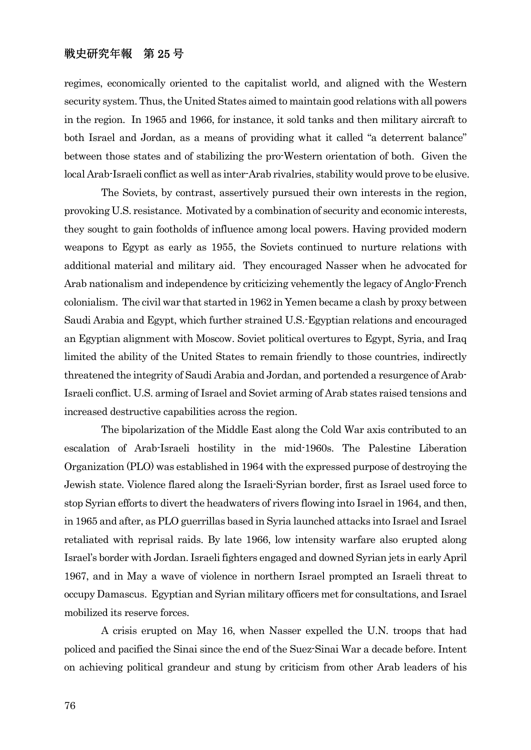regimes, economically oriented to the capitalist world, and aligned with the Western security system. Thus, the United States aimed to maintain good relations with all powers in the region. In 1965 and 1966, for instance, it sold tanks and then military aircraft to both Israel and Jordan, as a means of providing what it called "a deterrent balance" between those states and of stabilizing the pro-Western orientation of both. Given the local Arab-Israeli conflict as well as inter-Arab rivalries, stability would prove to be elusive.

The Soviets, by contrast, assertively pursued their own interests in the region, provoking U.S. resistance. Motivated by a combination of security and economic interests, they sought to gain footholds of influence among local powers. Having provided modern weapons to Egypt as early as 1955, the Soviets continued to nurture relations with additional material and military aid. They encouraged Nasser when he advocated for Arab nationalism and independence by criticizing vehemently the legacy of Anglo-French colonialism. The civil war that started in 1962 in Yemen became a clash by proxy between Saudi Arabia and Egypt, which further strained U.S.-Egyptian relations and encouraged an Egyptian alignment with Moscow. Soviet political overtures to Egypt, Syria, and Iraq limited the ability of the United States to remain friendly to those countries, indirectly threatened the integrity of Saudi Arabia and Jordan, and portended a resurgence of Arab-Israeli conflict. U.S. arming of Israel and Soviet arming of Arab states raised tensions and increased destructive capabilities across the region.

 The bipolarization of the Middle East along the Cold War axis contributed to an escalation of Arab-Israeli hostility in the mid-1960s. The Palestine Liberation Organization (PLO) was established in 1964 with the expressed purpose of destroying the Jewish state. Violence flared along the Israeli-Syrian border, first as Israel used force to stop Syrian efforts to divert the headwaters of rivers flowing into Israel in 1964, and then, in 1965 and after, as PLO guerrillas based in Syria launched attacks into Israel and Israel retaliated with reprisal raids. By late 1966, low intensity warfare also erupted along Israel's border with Jordan. Israeli fighters engaged and downed Syrian jets in early April 1967, and in May a wave of violence in northern Israel prompted an Israeli threat to occupy Damascus. Egyptian and Syrian military officers met for consultations, and Israel mobilized its reserve forces.

 A crisis erupted on May 16, when Nasser expelled the U.N. troops that had policed and pacified the Sinai since the end of the Suez-Sinai War a decade before. Intent on achieving political grandeur and stung by criticism from other Arab leaders of his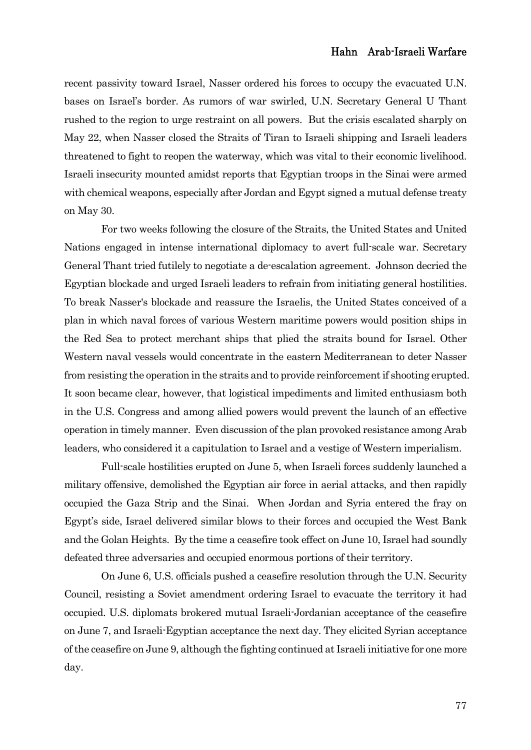recent passivity toward Israel, Nasser ordered his forces to occupy the evacuated U.N. bases on Israel's border. As rumors of war swirled, U.N. Secretary General U Thant rushed to the region to urge restraint on all powers. But the crisis escalated sharply on May 22, when Nasser closed the Straits of Tiran to Israeli shipping and Israeli leaders threatened to fight to reopen the waterway, which was vital to their economic livelihood. Israeli insecurity mounted amidst reports that Egyptian troops in the Sinai were armed with chemical weapons, especially after Jordan and Egypt signed a mutual defense treaty on May 30.

 For two weeks following the closure of the Straits, the United States and United Nations engaged in intense international diplomacy to avert full-scale war. Secretary General Thant tried futilely to negotiate a de-escalation agreement. Johnson decried the Egyptian blockade and urged Israeli leaders to refrain from initiating general hostilities. To break Nasser's blockade and reassure the Israelis, the United States conceived of a plan in which naval forces of various Western maritime powers would position ships in the Red Sea to protect merchant ships that plied the straits bound for Israel. Other Western naval vessels would concentrate in the eastern Mediterranean to deter Nasser from resisting the operation in the straits and to provide reinforcement if shooting erupted. It soon became clear, however, that logistical impediments and limited enthusiasm both in the U.S. Congress and among allied powers would prevent the launch of an effective operation in timely manner. Even discussion of the plan provoked resistance among Arab leaders, who considered it a capitulation to Israel and a vestige of Western imperialism.

Full-scale hostilities erupted on June 5, when Israeli forces suddenly launched a military offensive, demolished the Egyptian air force in aerial attacks, and then rapidly occupied the Gaza Strip and the Sinai. When Jordan and Syria entered the fray on Egypt's side, Israel delivered similar blows to their forces and occupied the West Bank and the Golan Heights. By the time a ceasefire took effect on June 10, Israel had soundly defeated three adversaries and occupied enormous portions of their territory.

On June 6, U.S. officials pushed a ceasefire resolution through the U.N. Security Council, resisting a Soviet amendment ordering Israel to evacuate the territory it had occupied. U.S. diplomats brokered mutual Israeli-Jordanian acceptance of the ceasefire on June 7, and Israeli-Egyptian acceptance the next day. They elicited Syrian acceptance of the ceasefire on June 9, although the fighting continued at Israeli initiative for one more day.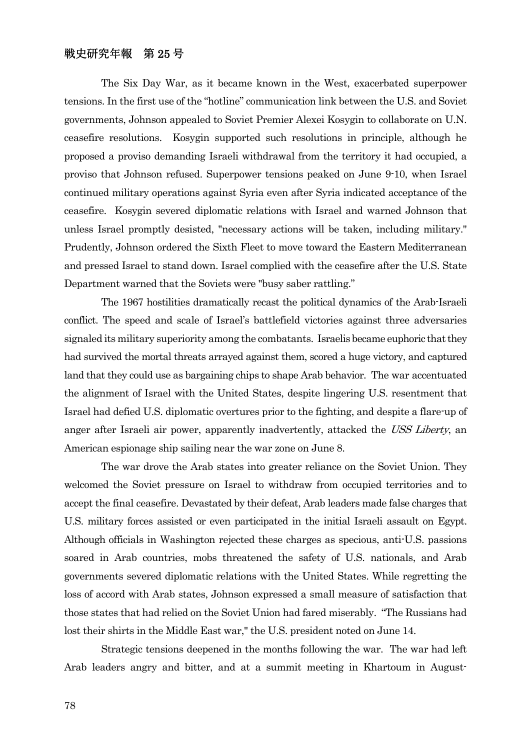The Six Day War, as it became known in the West, exacerbated superpower tensions. In the first use of the "hotline" communication link between the U.S. and Soviet governments, Johnson appealed to Soviet Premier Alexei Kosygin to collaborate on U.N. ceasefire resolutions. Kosygin supported such resolutions in principle, although he proposed a proviso demanding Israeli withdrawal from the territory it had occupied, a proviso that Johnson refused. Superpower tensions peaked on June 9-10, when Israel continued military operations against Syria even after Syria indicated acceptance of the ceasefire. Kosygin severed diplomatic relations with Israel and warned Johnson that unless Israel promptly desisted, "necessary actions will be taken, including military." Prudently, Johnson ordered the Sixth Fleet to move toward the Eastern Mediterranean and pressed Israel to stand down. Israel complied with the ceasefire after the U.S. State Department warned that the Soviets were "busy saber rattling."

The 1967 hostilities dramatically recast the political dynamics of the Arab-Israeli conflict. The speed and scale of Israel's battlefield victories against three adversaries signaled its military superiority among the combatants. Israelis became euphoric that they had survived the mortal threats arrayed against them, scored a huge victory, and captured land that they could use as bargaining chips to shape Arab behavior. The war accentuated the alignment of Israel with the United States, despite lingering U.S. resentment that Israel had defied U.S. diplomatic overtures prior to the fighting, and despite a flare-up of anger after Israeli air power, apparently inadvertently, attacked the USS Liberty, an American espionage ship sailing near the war zone on June 8.

The war drove the Arab states into greater reliance on the Soviet Union. They welcomed the Soviet pressure on Israel to withdraw from occupied territories and to accept the final ceasefire. Devastated by their defeat, Arab leaders made false charges that U.S. military forces assisted or even participated in the initial Israeli assault on Egypt. Although officials in Washington rejected these charges as specious, anti-U.S. passions soared in Arab countries, mobs threatened the safety of U.S. nationals, and Arab governments severed diplomatic relations with the United States. While regretting the loss of accord with Arab states, Johnson expressed a small measure of satisfaction that those states that had relied on the Soviet Union had fared miserably. "The Russians had lost their shirts in the Middle East war," the U.S. president noted on June 14.

 Strategic tensions deepened in the months following the war. The war had left Arab leaders angry and bitter, and at a summit meeting in Khartoum in August-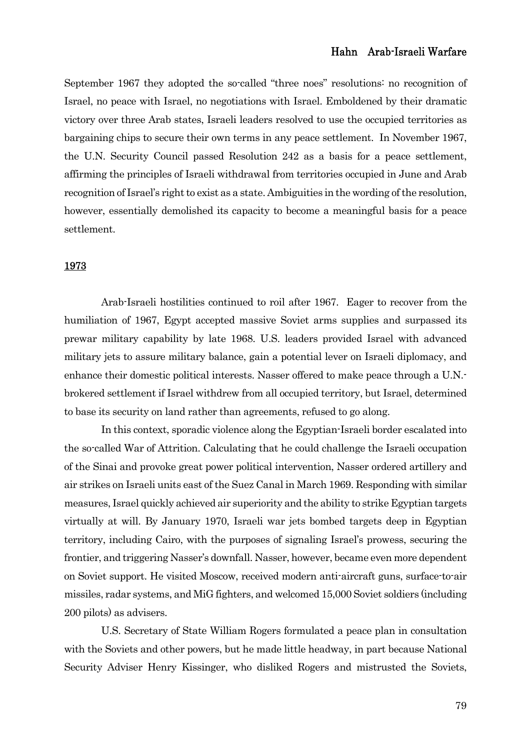# Hahn Arab-Israeli Warfare

September 1967 they adopted the so-called "three noes" resolutions: no recognition of Israel, no peace with Israel, no negotiations with Israel. Emboldened by their dramatic victory over three Arab states, Israeli leaders resolved to use the occupied territories as bargaining chips to secure their own terms in any peace settlement. In November 1967, the U.N. Security Council passed Resolution 242 as a basis for a peace settlement, affirming the principles of Israeli withdrawal from territories occupied in June and Arab recognition of Israel's right to exist as a state. Ambiguities in the wording of the resolution, however, essentially demolished its capacity to become a meaningful basis for a peace settlement.

# 1973

Arab-Israeli hostilities continued to roil after 1967. Eager to recover from the humiliation of 1967, Egypt accepted massive Soviet arms supplies and surpassed its prewar military capability by late 1968. U.S. leaders provided Israel with advanced military jets to assure military balance, gain a potential lever on Israeli diplomacy, and enhance their domestic political interests. Nasser offered to make peace through a U.N. brokered settlement if Israel withdrew from all occupied territory, but Israel, determined to base its security on land rather than agreements, refused to go along.

 In this context, sporadic violence along the Egyptian-Israeli border escalated into the so-called War of Attrition. Calculating that he could challenge the Israeli occupation of the Sinai and provoke great power political intervention, Nasser ordered artillery and air strikes on Israeli units east of the Suez Canal in March 1969. Responding with similar measures, Israel quickly achieved air superiority and the ability to strike Egyptian targets virtually at will. By January 1970, Israeli war jets bombed targets deep in Egyptian territory, including Cairo, with the purposes of signaling Israel's prowess, securing the frontier, and triggering Nasser's downfall. Nasser, however, became even more dependent on Soviet support. He visited Moscow, received modern anti-aircraft guns, surface-to-air missiles, radar systems, and MiG fighters, and welcomed 15,000 Soviet soldiers (including 200 pilots) as advisers.

U.S. Secretary of State William Rogers formulated a peace plan in consultation with the Soviets and other powers, but he made little headway, in part because National Security Adviser Henry Kissinger, who disliked Rogers and mistrusted the Soviets,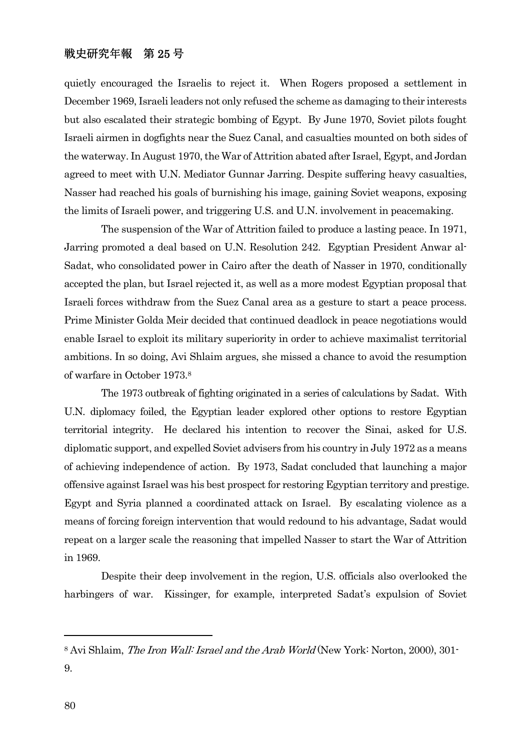quietly encouraged the Israelis to reject it. When Rogers proposed a settlement in December 1969, Israeli leaders not only refused the scheme as damaging to their interests but also escalated their strategic bombing of Egypt. By June 1970, Soviet pilots fought Israeli airmen in dogfights near the Suez Canal, and casualties mounted on both sides of the waterway. In August 1970, the War of Attrition abated after Israel, Egypt, and Jordan agreed to meet with U.N. Mediator Gunnar Jarring. Despite suffering heavy casualties, Nasser had reached his goals of burnishing his image, gaining Soviet weapons, exposing the limits of Israeli power, and triggering U.S. and U.N. involvement in peacemaking.

 The suspension of the War of Attrition failed to produce a lasting peace. In 1971, Jarring promoted a deal based on U.N. Resolution 242. Egyptian President Anwar al-Sadat, who consolidated power in Cairo after the death of Nasser in 1970, conditionally accepted the plan, but Israel rejected it, as well as a more modest Egyptian proposal that Israeli forces withdraw from the Suez Canal area as a gesture to start a peace process. Prime Minister Golda Meir decided that continued deadlock in peace negotiations would enable Israel to exploit its military superiority in order to achieve maximalist territorial ambitions. In so doing, Avi Shlaim argues, she missed a chance to avoid the resumption of warfare in October 1973.8

 The 1973 outbreak of fighting originated in a series of calculations by Sadat. With U.N. diplomacy foiled, the Egyptian leader explored other options to restore Egyptian territorial integrity. He declared his intention to recover the Sinai, asked for U.S. diplomatic support, and expelled Soviet advisers from his country in July 1972 as a means of achieving independence of action. By 1973, Sadat concluded that launching a major offensive against Israel was his best prospect for restoring Egyptian territory and prestige. Egypt and Syria planned a coordinated attack on Israel. By escalating violence as a means of forcing foreign intervention that would redound to his advantage, Sadat would repeat on a larger scale the reasoning that impelled Nasser to start the War of Attrition in 1969.

 Despite their deep involvement in the region, U.S. officials also overlooked the harbingers of war. Kissinger, for example, interpreted Sadat's expulsion of Soviet

<sup>8</sup> Avi Shlaim, The Iron Wall: Israel and the Arab World (New York: Norton, 2000), 301- 9.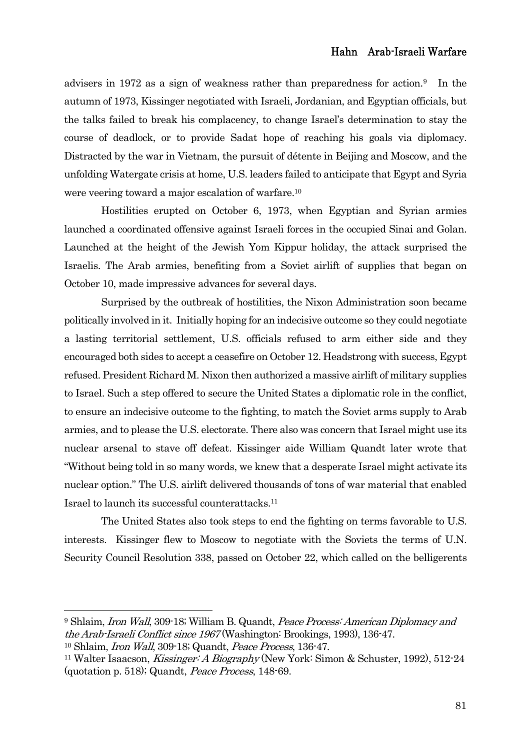advisers in 1972 as a sign of weakness rather than preparedness for action.9 In the autumn of 1973, Kissinger negotiated with Israeli, Jordanian, and Egyptian officials, but the talks failed to break his complacency, to change Israel's determination to stay the course of deadlock, or to provide Sadat hope of reaching his goals via diplomacy. Distracted by the war in Vietnam, the pursuit of détente in Beijing and Moscow, and the unfolding Watergate crisis at home, U.S. leaders failed to anticipate that Egypt and Syria were veering toward a major escalation of warfare.10

Hostilities erupted on October 6, 1973, when Egyptian and Syrian armies launched a coordinated offensive against Israeli forces in the occupied Sinai and Golan. Launched at the height of the Jewish Yom Kippur holiday, the attack surprised the Israelis. The Arab armies, benefiting from a Soviet airlift of supplies that began on October 10, made impressive advances for several days.

 Surprised by the outbreak of hostilities, the Nixon Administration soon became politically involved in it. Initially hoping for an indecisive outcome so they could negotiate a lasting territorial settlement, U.S. officials refused to arm either side and they encouraged both sides to accept a ceasefire on October 12. Headstrong with success, Egypt refused. President Richard M. Nixon then authorized a massive airlift of military supplies to Israel. Such a step offered to secure the United States a diplomatic role in the conflict, to ensure an indecisive outcome to the fighting, to match the Soviet arms supply to Arab armies, and to please the U.S. electorate. There also was concern that Israel might use its nuclear arsenal to stave off defeat. Kissinger aide William Quandt later wrote that "Without being told in so many words, we knew that a desperate Israel might activate its nuclear option." The U.S. airlift delivered thousands of tons of war material that enabled Israel to launch its successful counterattacks.11

 The United States also took steps to end the fighting on terms favorable to U.S. interests. Kissinger flew to Moscow to negotiate with the Soviets the terms of U.N. Security Council Resolution 338, passed on October 22, which called on the belligerents

<sup>9</sup> Shlaim, Iron Wall, 309-18; William B. Quandt, Peace Process: American Diplomacy and the Arab-Israeli Conflict since 1967 (Washington: Brookings, 1993), 136-47.

<sup>&</sup>lt;sup>10</sup> Shlaim, *Iron Wall*, 309-18; Quandt, *Peace Process*, 136-47.<br><sup>11</sup> Walter Isaacson, *Kissinger: A Biography* (New York: Simon & Schuster, 1992), 512-24 (quotation p. 518); Quandt, Peace Process, 148-69.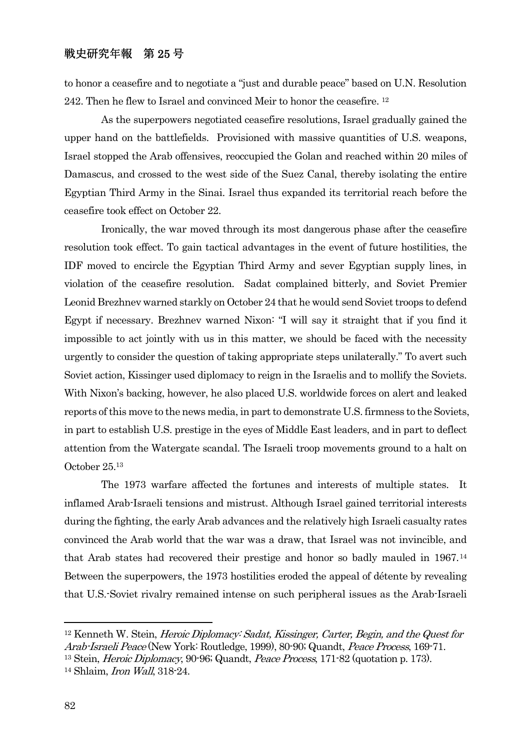to honor a ceasefire and to negotiate a "just and durable peace" based on U.N. Resolution 242. Then he flew to Israel and convinced Meir to honor the ceasefire. 12

As the superpowers negotiated ceasefire resolutions, Israel gradually gained the upper hand on the battlefields. Provisioned with massive quantities of U.S. weapons, Israel stopped the Arab offensives, reoccupied the Golan and reached within 20 miles of Damascus, and crossed to the west side of the Suez Canal, thereby isolating the entire Egyptian Third Army in the Sinai. Israel thus expanded its territorial reach before the ceasefire took effect on October 22.

 Ironically, the war moved through its most dangerous phase after the ceasefire resolution took effect. To gain tactical advantages in the event of future hostilities, the IDF moved to encircle the Egyptian Third Army and sever Egyptian supply lines, in violation of the ceasefire resolution. Sadat complained bitterly, and Soviet Premier Leonid Brezhnev warned starkly on October 24 that he would send Soviet troops to defend Egypt if necessary. Brezhnev warned Nixon: "I will say it straight that if you find it impossible to act jointly with us in this matter, we should be faced with the necessity urgently to consider the question of taking appropriate steps unilaterally." To avert such Soviet action, Kissinger used diplomacy to reign in the Israelis and to mollify the Soviets. With Nixon's backing, however, he also placed U.S. worldwide forces on alert and leaked reports of this move to the news media, in part to demonstrate U.S. firmness to the Soviets, in part to establish U.S. prestige in the eyes of Middle East leaders, and in part to deflect attention from the Watergate scandal. The Israeli troop movements ground to a halt on October 25.13

The 1973 warfare affected the fortunes and interests of multiple states. It inflamed Arab-Israeli tensions and mistrust. Although Israel gained territorial interests during the fighting, the early Arab advances and the relatively high Israeli casualty rates convinced the Arab world that the war was a draw, that Israel was not invincible, and that Arab states had recovered their prestige and honor so badly mauled in 1967.14 Between the superpowers, the 1973 hostilities eroded the appeal of détente by revealing that U.S.-Soviet rivalry remained intense on such peripheral issues as the Arab-Israeli

<sup>&</sup>lt;sup>12</sup> Kenneth W. Stein, *Heroic Diplomacy: Sadat, Kissinger, Carter, Begin, and the Quest for* Arab-Israeli Peace (New York: Routledge, 1999), 80-90; Quandt, Peace Process, 169-71.

<sup>&</sup>lt;sup>13</sup> Stein, *Heroic Diplomacy*, 90-96; Quandt, *Peace Process*, 171-82 (quotation p. 173).<br><sup>14</sup> Shlaim, *Iron Wall*, 318-24.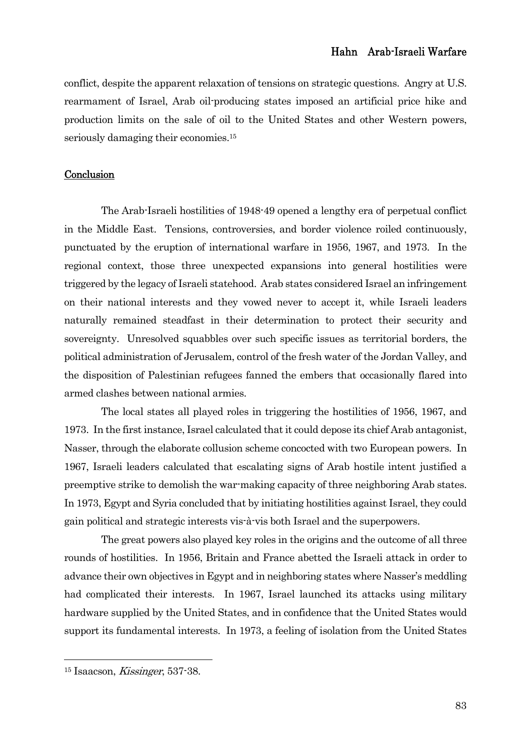# Hahn Arab-Israeli Warfare

conflict, despite the apparent relaxation of tensions on strategic questions. Angry at U.S. rearmament of Israel, Arab oil-producing states imposed an artificial price hike and production limits on the sale of oil to the United States and other Western powers, seriously damaging their economies.<sup>15</sup>

#### **Conclusion**

The Arab-Israeli hostilities of 1948-49 opened a lengthy era of perpetual conflict in the Middle East. Tensions, controversies, and border violence roiled continuously, punctuated by the eruption of international warfare in 1956, 1967, and 1973. In the regional context, those three unexpected expansions into general hostilities were triggered by the legacy of Israeli statehood. Arab states considered Israel an infringement on their national interests and they vowed never to accept it, while Israeli leaders naturally remained steadfast in their determination to protect their security and sovereignty. Unresolved squabbles over such specific issues as territorial borders, the political administration of Jerusalem, control of the fresh water of the Jordan Valley, and the disposition of Palestinian refugees fanned the embers that occasionally flared into armed clashes between national armies.

The local states all played roles in triggering the hostilities of 1956, 1967, and 1973. In the first instance, Israel calculated that it could depose its chief Arab antagonist, Nasser, through the elaborate collusion scheme concocted with two European powers. In 1967, Israeli leaders calculated that escalating signs of Arab hostile intent justified a preemptive strike to demolish the war-making capacity of three neighboring Arab states. In 1973, Egypt and Syria concluded that by initiating hostilities against Israel, they could gain political and strategic interests vis-à-vis both Israel and the superpowers.

The great powers also played key roles in the origins and the outcome of all three rounds of hostilities. In 1956, Britain and France abetted the Israeli attack in order to advance their own objectives in Egypt and in neighboring states where Nasser's meddling had complicated their interests. In 1967, Israel launched its attacks using military hardware supplied by the United States, and in confidence that the United States would support its fundamental interests. In 1973, a feeling of isolation from the United States

<sup>15</sup> Isaacson, Kissinger, 537-38.